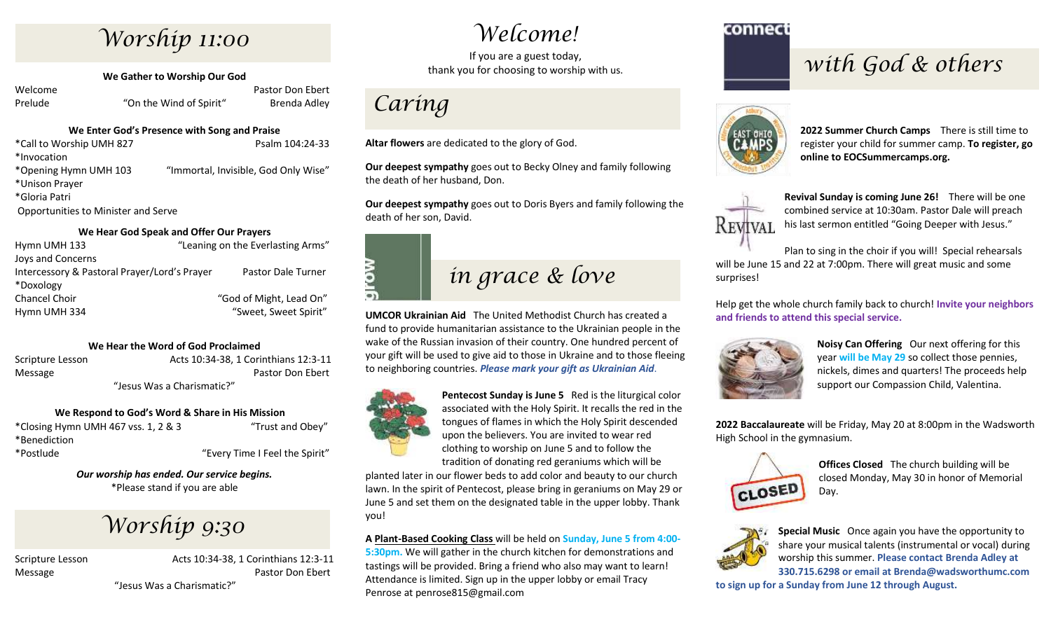## *Worship 11:00*

**We Gather to Worship Our God**

Welcome **Pastor Don Ebert** Pastor Don Ebert Prelude "On the Wind of Spirit" Brenda Adley

#### **We Enter God's Presence with Song and Praise**

| *Call to Worship UMH 827 | Psalm 104:24-33                      |
|--------------------------|--------------------------------------|
| *Invocation              |                                      |
| *Opening Hymn UMH 103    | "Immortal, Invisible, God Only Wise" |
| *Unison Prayer           |                                      |
| *Gloria Patri            |                                      |
|                          |                                      |

Opportunities to Minister and Serve

#### **We Hear God Speak and Offer Our Prayers**

| Hymn UMH 133                                 | "Leaning on the Everlasting Arms" |
|----------------------------------------------|-----------------------------------|
| Joys and Concerns                            |                                   |
| Intercessory & Pastoral Prayer/Lord's Prayer | Pastor Dale Turner                |
| *Doxology                                    |                                   |
| <b>Chancel Choir</b>                         | "God of Might, Lead On"           |
| Hymn UMH 334                                 | "Sweet, Sweet Spirit"             |

#### **We Hear the Word of God Proclaimed**

Scripture Lesson Acts 10:34-38, 1 Corinthians 12:3-11 Message **Pastor Don Ebert** Pastor Don Ebert "Jesus Was a Charismatic?"

#### **We Respond to God's Word & Share in His Mission**

\*Closing Hymn UMH 467 vss. 1, 2 & 3 "Trust and Obey" \*Benediction \*Postlude "Every Time I Feel the Spirit"

*Our worship has ended. Our service begins.* \*Please stand if you are able

## *Worship 9:30*

Scripture Lesson Acts 10:34-38, 1 Corinthians 12:3-11 Message **Pastor Don Ebert** Pastor Don Ebert "Jesus Was a Charismatic?"

## *Welcome!*

If you are a guest today, thank you for choosing to worship with us.

## *Caring*

**Altar flowers** are dedicated to the glory of God.

**Our deepest sympathy** goes out to Becky Olney and family following the death of her husband, Don.

**Our deepest sympathy** goes out to Doris Byers and family following the death of her son, David.



**UMCOR Ukrainian Aid** The United Methodist Church has created a fund to provide humanitarian assistance to the Ukrainian people in the wake of the Russian invasion of their country. One hundred percent of your gift will be used to give aid to those in Ukraine and to those fleeing to neighboring countries. *Please mark your gift as Ukrainian Aid*.



**Pentecost Sunday is June 5** Red is the liturgical color associated with the Holy Spirit. It recalls the red in the tongues of flames in which the Holy Spirit descended upon the believers. You are invited to wear red clothing to worship on June 5 and to follow the tradition of donating red geraniums which will be

planted later in our flower beds to add color and beauty to our church lawn. In the spirit of Pentecost, please bring in geraniums on May 29 or June 5 and set them on the designated table in the upper lobby. Thank you!

#### **A Plant-Based Cooking Class** will be held on **Sunday, June 5 from 4:00-**

**5:30pm.** We will gather in the church kitchen for demonstrations and tastings will be provided. Bring a friend who also may want to learn! Attendance is limited. Sign up in the upper lobby or email Tracy Penrose at penrose815@gmail.com

#### connect

## *with God & others*



**2022 Summer Church Camps** There is still time to register your child for summer camp. **To register, go online to EOCSummercamps.org.**



**Revival Sunday is coming June 26!** There will be one combined service at 10:30am. Pastor Dale will preach his last sermon entitled "Going Deeper with Jesus."

Plan to sing in the choir if you will! Special rehearsals will be June 15 and 22 at 7:00pm. There will great music and some surprises!

Help get the whole church family back to church! **Invite your neighbors and friends to attend this special service.**



**Noisy Can Offering** Our next offering for this year **will be May 29** so collect those pennies, nickels, dimes and quarters! The proceeds help support our Compassion Child, Valentina.

**2022 Baccalaureate** will be Friday, May 20 at 8:00pm in the Wadsworth High School in the gymnasium.



**Offices Closed** The church building will be closed Monday, May 30 in honor of Memorial Day.



**Special Music** Once again you have the opportunity to share your musical talents (instrumental or vocal) during worship this summer. **Please contact Brenda Adley at 330.715.6298 or email at Brenda@wadsworthumc.com**

**to sign up for a Sunday from June 12 through August.**